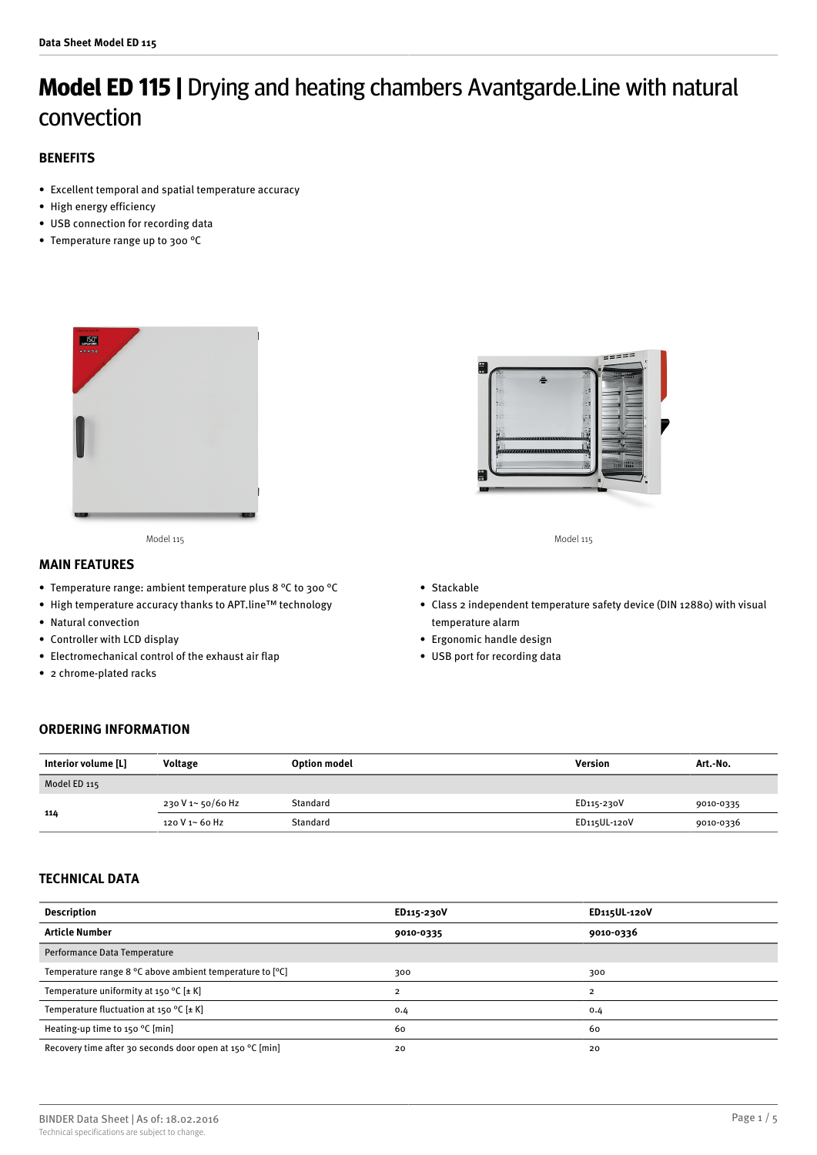# **Model ED 115 |** Drying and heating chambers Avantgarde.Line with natural convection

# **BENEFITS**

- Excellent temporal and spatial temperature accuracy
- High energy efficiency
- USB connection for recording data
- Temperature range up to 300 °C



Model 115 Model 115

## **MAIN FEATURES**

- Temperature range: ambient temperature plus 8 °C to 300 °C
- High temperature accuracy thanks to APT.line™ technology
- Natural convection
- Controller with LCD display
- Electromechanical control of the exhaust air flap
- 2 chrome-plated racks



- Stackable
- Class 2 independent temperature safety device (DIN 12880) with visual temperature alarm
- Ergonomic handle design
- USB port for recording data

## **ORDERING INFORMATION**

| Interior volume [L] | Voltage           | <b>Option model</b> | <b>Version</b> | Art.-No.  |
|---------------------|-------------------|---------------------|----------------|-----------|
| Model ED 115        |                   |                     |                |           |
| 114                 | 230 V 1~ 50/60 Hz | Standard            | ED115-230V     | 9010-0335 |
|                     | 120 V 1~ 60 Hz    | Standard            | ED115UL-120V   | 9010-0336 |

## **TECHNICAL DATA**

| <b>Description</b>                                       | ED115-230V | <b>ED115UL-120V</b> |
|----------------------------------------------------------|------------|---------------------|
| <b>Article Number</b>                                    | 9010-0335  | 9010-0336           |
| Performance Data Temperature                             |            |                     |
| Temperature range 8 °C above ambient temperature to [°C] | 300        | 300                 |
| Temperature uniformity at 150 °C $[\pm K]$               | 2          | っ                   |
| Temperature fluctuation at 150 °C [ $\pm$ K]             | 0.4        | 0.4                 |
| Heating-up time to 150 °C [min]                          | 60         | 60                  |
| Recovery time after 30 seconds door open at 150 °C [min] | 20         | 20                  |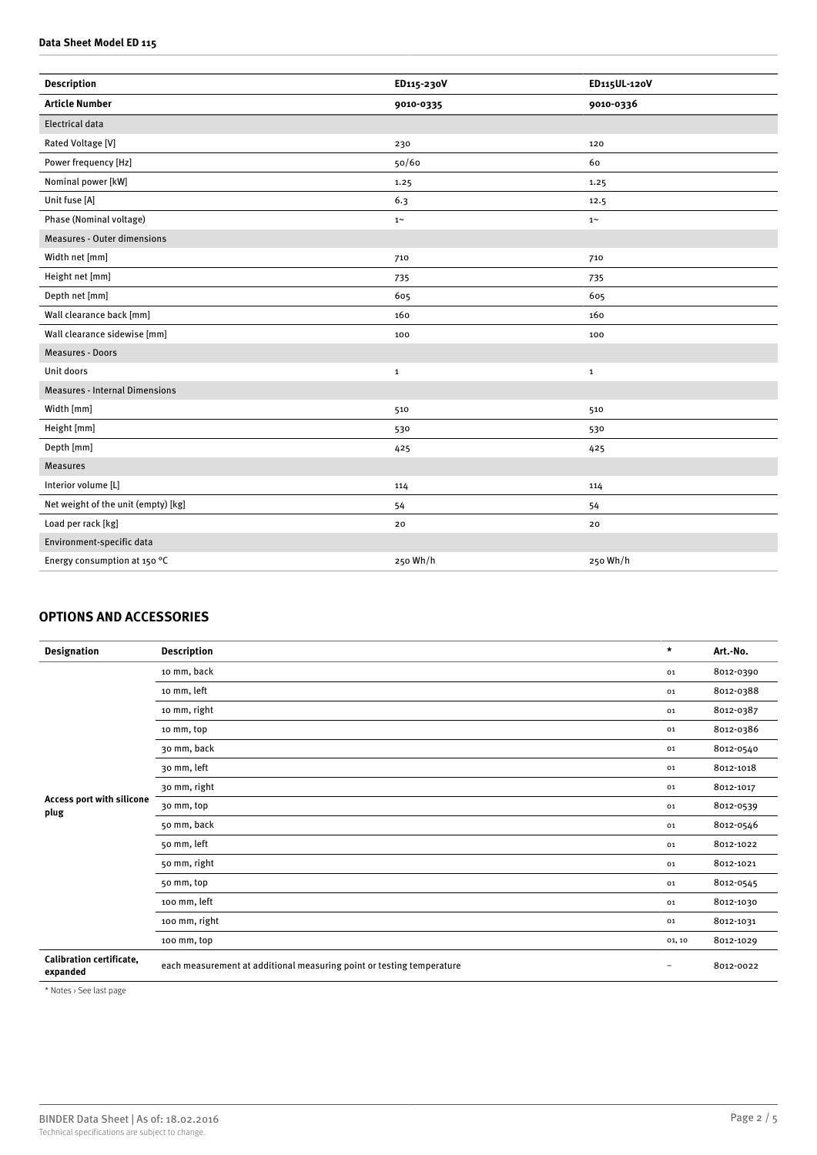#### **Data Sheet Model ED 115**

| <b>Description</b>                    | ED115-230V | ED115UL-120V |
|---------------------------------------|------------|--------------|
| <b>Article Number</b>                 | 9010-0335  | 9010-0336    |
| <b>Electrical data</b>                |            |              |
| Rated Voltage [V]                     | 230        | 120          |
| Power frequency [Hz]                  | 50/60      | 60           |
| Nominal power [kW]                    | 1.25       | 1.25         |
| Unit fuse [A]                         | 6.3        | 12.5         |
| Phase (Nominal voltage)               | $1~\sim$   | $1\sim$      |
| <b>Measures - Outer dimensions</b>    |            |              |
| Width net [mm]                        | 710        | 710          |
| Height net [mm]                       | 735        | 735          |
| Depth net [mm]                        | 605        | 605          |
| Wall clearance back [mm]              | 160        | 160          |
| Wall clearance sidewise [mm]          | 100        | 100          |
| Measures - Doors                      |            |              |
| Unit doors                            | 1          | $\mathbf{1}$ |
| <b>Measures - Internal Dimensions</b> |            |              |
| Width [mm]                            | 510        | 510          |
| Height [mm]                           | 530        | 530          |
| Depth [mm]                            | 425        | 425          |
| <b>Measures</b>                       |            |              |
| Interior volume [L]                   | 114        | 114          |
| Net weight of the unit (empty) [kg]   | 54         | 54           |
| Load per rack [kg]                    | 20         | 20           |
| Environment-specific data             |            |              |
| Energy consumption at 150 °C          | 250 Wh/h   | 250 Wh/h     |
|                                       |            |              |

# **OPTIONS AND ACCESSORIES**

| <b>Designation</b>                   | <b>Description</b>                                                    | $\star$                  | Art.-No.  |
|--------------------------------------|-----------------------------------------------------------------------|--------------------------|-----------|
| Access port with silicone<br>plug    | 10 mm, back                                                           | 01                       | 8012-0390 |
|                                      | 10 mm, left                                                           | 01                       | 8012-0388 |
|                                      | 10 mm, right                                                          | 01                       | 8012-0387 |
|                                      | 10 mm, top                                                            | 01                       | 8012-0386 |
|                                      | 30 mm, back                                                           | 01                       | 8012-0540 |
|                                      | 30 mm, left                                                           | 01                       | 8012-1018 |
|                                      | 30 mm, right                                                          | 01                       | 8012-1017 |
|                                      | 30 mm, top                                                            | 01                       | 8012-0539 |
|                                      | 50 mm, back                                                           | 01                       | 8012-0546 |
|                                      | 50 mm, left                                                           | 01                       | 8012-1022 |
|                                      | 50 mm, right                                                          | 01                       | 8012-1021 |
|                                      | 50 mm, top                                                            | 01                       | 8012-0545 |
|                                      | 100 mm, left                                                          | 01                       | 8012-1030 |
|                                      | 100 mm, right                                                         | 01                       | 8012-1031 |
|                                      | 100 mm, top                                                           | 01, 10                   | 8012-1029 |
| Calibration certificate,<br>expanded | each measurement at additional measuring point or testing temperature | $\overline{\phantom{a}}$ | 8012-0022 |

\* Notes › See last page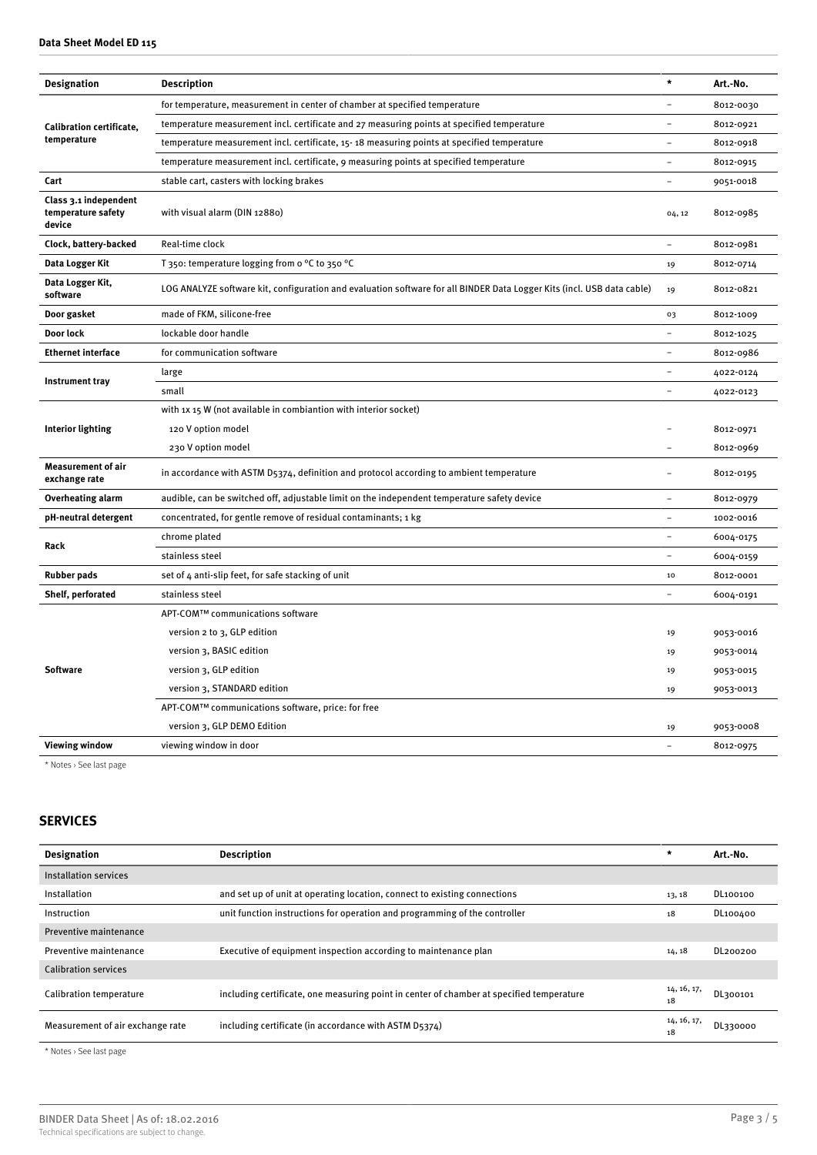| <b>Designation</b>                                    | <b>Description</b>                                                                                                     | $\star$                  | Art.-No.  |
|-------------------------------------------------------|------------------------------------------------------------------------------------------------------------------------|--------------------------|-----------|
|                                                       | for temperature, measurement in center of chamber at specified temperature                                             | $\equiv$                 | 8012-0030 |
| <b>Calibration certificate,</b>                       | temperature measurement incl. certificate and 27 measuring points at specified temperature                             | $\overline{a}$           | 8012-0921 |
| temperature                                           | temperature measurement incl. certificate, 15-18 measuring points at specified temperature                             | $\equiv$                 | 8012-0918 |
|                                                       | temperature measurement incl. certificate, 9 measuring points at specified temperature                                 | $\equiv$                 | 8012-0915 |
| Cart                                                  | stable cart, casters with locking brakes                                                                               | $\overline{\phantom{0}}$ | 9051-0018 |
| Class 3.1 independent<br>temperature safety<br>device | with visual alarm (DIN 12880)                                                                                          | 04, 12                   | 8012-0985 |
| Clock, battery-backed                                 | Real-time clock                                                                                                        | $\overline{a}$           | 8012-0981 |
| Data Logger Kit                                       | T 350: temperature logging from o °C to 350 °C                                                                         | 19                       | 8012-0714 |
| Data Logger Kit,<br>software                          | LOG ANALYZE software kit, configuration and evaluation software for all BINDER Data Logger Kits (incl. USB data cable) | 19                       | 8012-0821 |
| Door gasket                                           | made of FKM, silicone-free                                                                                             | 03                       | 8012-1009 |
| Door lock                                             | lockable door handle                                                                                                   |                          | 8012-1025 |
| <b>Ethernet interface</b>                             | for communication software                                                                                             |                          | 8012-0986 |
|                                                       | large                                                                                                                  |                          | 4022-0124 |
| Instrument tray                                       | small                                                                                                                  | $\overline{\phantom{0}}$ | 4022-0123 |
|                                                       | with 1x 15 W (not available in combiantion with interior socket)                                                       |                          |           |
| <b>Interior lighting</b>                              | 120 V option model                                                                                                     |                          | 8012-0971 |
|                                                       | 230 V option model                                                                                                     | $\overline{\phantom{0}}$ | 8012-0969 |
| <b>Measurement of air</b><br>exchange rate            | in accordance with ASTM D5374, definition and protocol according to ambient temperature                                |                          | 8012-0195 |
| <b>Overheating alarm</b>                              | audible, can be switched off, adjustable limit on the independent temperature safety device                            |                          | 8012-0979 |
| pH-neutral detergent                                  | concentrated, for gentle remove of residual contaminants; 1 kg                                                         | $\overline{a}$           | 1002-0016 |
| Rack                                                  | chrome plated                                                                                                          | $\rightarrow$            | 6004-0175 |
|                                                       | stainless steel                                                                                                        | ÷                        | 6004-0159 |
| <b>Rubber pads</b>                                    | set of 4 anti-slip feet, for safe stacking of unit                                                                     | 10                       | 8012-0001 |
| Shelf, perforated                                     | stainless steel                                                                                                        | ÷                        | 6004-0191 |
|                                                       | APT-COM™ communications software                                                                                       |                          |           |
|                                                       | version 2 to 3, GLP edition                                                                                            | 19                       | 9053-0016 |
| <b>Software</b>                                       | version 3, BASIC edition                                                                                               | 19                       | 9053-0014 |
|                                                       | version 3, GLP edition                                                                                                 | 19                       | 9053-0015 |
|                                                       | version 3, STANDARD edition                                                                                            | 19                       | 9053-0013 |
|                                                       | APT-COM™ communications software, price: for free                                                                      |                          |           |
|                                                       | version 3, GLP DEMO Edition                                                                                            | 19                       | 9053-0008 |
| <b>Viewing window</b>                                 | viewing window in door                                                                                                 | $\overline{\phantom{0}}$ | 8012-0975 |
|                                                       |                                                                                                                        |                          |           |

\* Notes › See last page

# **SERVICES**

| <b>Designation</b>               | <b>Description</b>                                                                       | $\star$           | Art.-No. |
|----------------------------------|------------------------------------------------------------------------------------------|-------------------|----------|
| Installation services            |                                                                                          |                   |          |
| Installation                     | and set up of unit at operating location, connect to existing connections                | 13, 18            | DL100100 |
| Instruction                      | unit function instructions for operation and programming of the controller               | 18                | DL100400 |
| Preventive maintenance           |                                                                                          |                   |          |
| Preventive maintenance           | Executive of equipment inspection according to maintenance plan                          | 14, 18            | DL200200 |
| <b>Calibration services</b>      |                                                                                          |                   |          |
| Calibration temperature          | including certificate, one measuring point in center of chamber at specified temperature | 14, 16, 17,<br>18 | DL300101 |
| Measurement of air exchange rate | including certificate (in accordance with ASTM D5374)                                    | 14, 16, 17,<br>18 | DL330000 |

\* Notes › See last page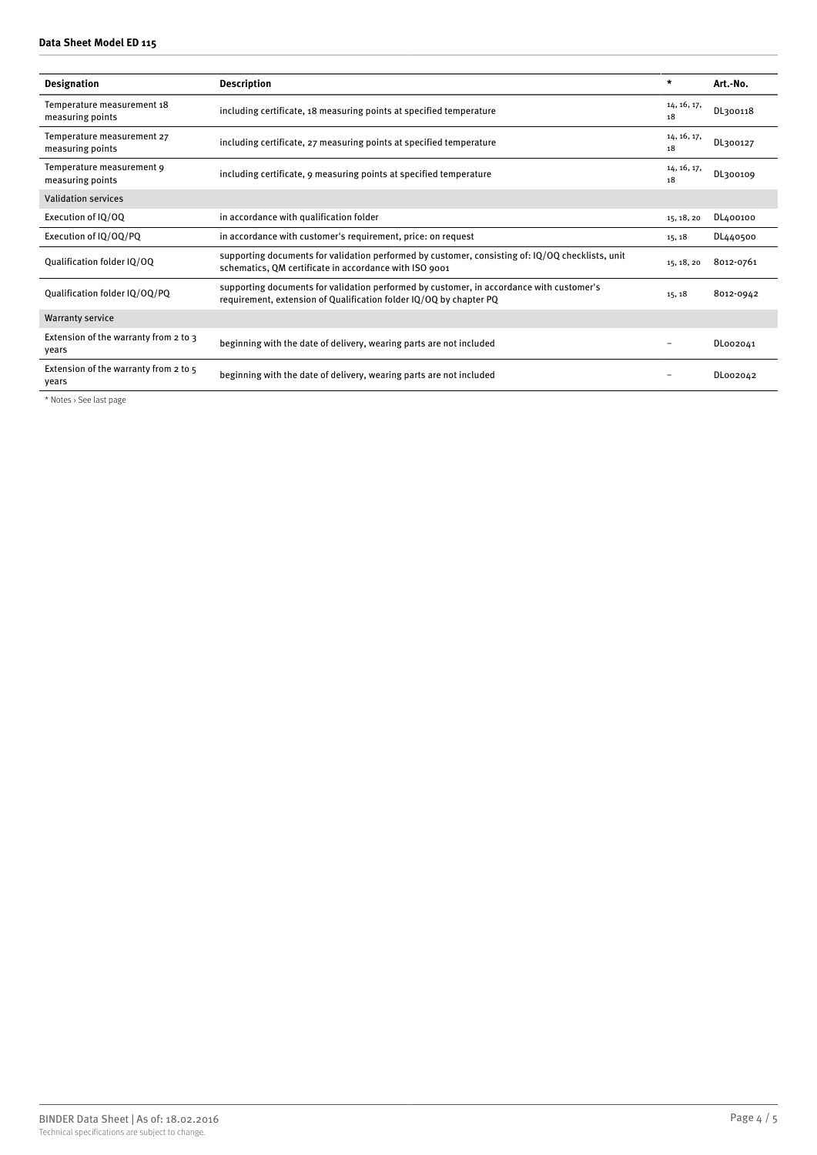#### **Data Sheet Model ED 115**

| <b>Designation</b>                             | <b>Description</b>                                                                                                                                             | $\star$           | Art.-No.  |
|------------------------------------------------|----------------------------------------------------------------------------------------------------------------------------------------------------------------|-------------------|-----------|
| Temperature measurement 18<br>measuring points | including certificate, 18 measuring points at specified temperature                                                                                            | 14, 16, 17,<br>18 | DL300118  |
| Temperature measurement 27<br>measuring points | including certificate, 27 measuring points at specified temperature                                                                                            | 14, 16, 17,<br>18 | DL300127  |
| Temperature measurement 9<br>measuring points  | including certificate, 9 measuring points at specified temperature                                                                                             | 14, 16, 17,<br>18 | DL300109  |
| <b>Validation services</b>                     |                                                                                                                                                                |                   |           |
| Execution of IQ/OQ                             | in accordance with qualification folder                                                                                                                        | 15, 18, 20        | DL400100  |
| Execution of IQ/OQ/PQ                          | in accordance with customer's requirement, price: on request                                                                                                   | 15, 18            | DL440500  |
| Qualification folder IQ/OQ                     | supporting documents for validation performed by customer, consisting of: IQ/OQ checklists, unit<br>schematics, QM certificate in accordance with ISO 9001     | 15, 18, 20        | 8012-0761 |
| Qualification folder IQ/OQ/PQ                  | supporting documents for validation performed by customer, in accordance with customer's<br>requirement, extension of Qualification folder IQ/OQ by chapter PQ | 15, 18            | 8012-0942 |
| <b>Warranty service</b>                        |                                                                                                                                                                |                   |           |
| Extension of the warranty from 2 to 3<br>years | beginning with the date of delivery, wearing parts are not included                                                                                            |                   | DL002041  |
| Extension of the warranty from 2 to 5<br>years | beginning with the date of delivery, wearing parts are not included                                                                                            |                   | DL002042  |

\* Notes › See last page